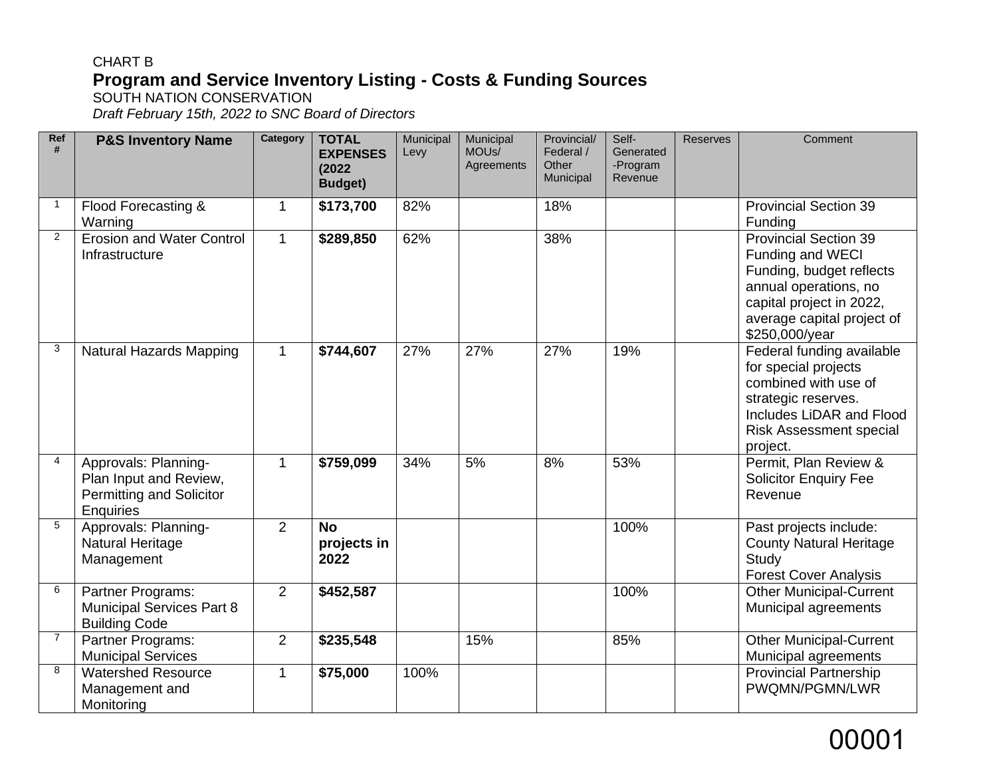### CHART B **Program and Service Inventory Listing - Costs & Funding Sources** SOUTH NATION CONSERVATION

*Draft February 15th, 2022 to SNC Board of Directors* 

| Ref<br>#       | <b>P&amp;S Inventory Name</b>                                                           | Category     | <b>TOTAL</b><br><b>EXPENSES</b><br>(2022)<br><b>Budget)</b> | Municipal<br>Levy | Municipal<br>MOU <sub>s</sub> /<br>Agreements | Provincial/<br>Federal /<br>Other<br>Municipal | Self-<br>Generated<br>-Program<br>Revenue | <b>Reserves</b> | Comment                                                                                                                                                                           |
|----------------|-----------------------------------------------------------------------------------------|--------------|-------------------------------------------------------------|-------------------|-----------------------------------------------|------------------------------------------------|-------------------------------------------|-----------------|-----------------------------------------------------------------------------------------------------------------------------------------------------------------------------------|
| $\overline{1}$ | Flood Forecasting &<br>Warning                                                          | $\mathbf 1$  | \$173,700                                                   | 82%               |                                               | 18%                                            |                                           |                 | <b>Provincial Section 39</b><br>Funding                                                                                                                                           |
| 2              | <b>Erosion and Water Control</b><br>Infrastructure                                      | $\mathbf{1}$ | \$289,850                                                   | 62%               |                                               | 38%                                            |                                           |                 | <b>Provincial Section 39</b><br>Funding and WECI<br>Funding, budget reflects<br>annual operations, no<br>capital project in 2022,<br>average capital project of<br>\$250,000/year |
| 3              | <b>Natural Hazards Mapping</b>                                                          | $\mathbf{1}$ | \$744,607                                                   | 27%               | 27%                                           | 27%                                            | 19%                                       |                 | Federal funding available<br>for special projects<br>combined with use of<br>strategic reserves.<br>Includes LiDAR and Flood<br><b>Risk Assessment special</b><br>project.        |
| $\overline{4}$ | Approvals: Planning-<br>Plan Input and Review,<br>Permitting and Solicitor<br>Enquiries | $\mathbf{1}$ | \$759,099                                                   | 34%               | 5%                                            | 8%                                             | 53%                                       |                 | Permit, Plan Review &<br><b>Solicitor Enquiry Fee</b><br>Revenue                                                                                                                  |
| 5              | Approvals: Planning-<br><b>Natural Heritage</b><br>Management                           | 2            | <b>No</b><br>projects in<br>2022                            |                   |                                               |                                                | 100%                                      |                 | Past projects include:<br><b>County Natural Heritage</b><br>Study<br><b>Forest Cover Analysis</b>                                                                                 |
| 6              | Partner Programs:<br><b>Municipal Services Part 8</b><br><b>Building Code</b>           | 2            | \$452,587                                                   |                   |                                               |                                                | 100%                                      |                 | <b>Other Municipal-Current</b><br>Municipal agreements                                                                                                                            |
| $\overline{7}$ | Partner Programs:<br><b>Municipal Services</b>                                          | 2            | \$235,548                                                   |                   | 15%                                           |                                                | 85%                                       |                 | <b>Other Municipal-Current</b><br>Municipal agreements                                                                                                                            |
| 8              | <b>Watershed Resource</b><br>Management and<br>Monitoring                               | $\mathbf{1}$ | \$75,000                                                    | 100%              |                                               |                                                |                                           |                 | <b>Provincial Partnership</b><br>PWQMN/PGMN/LWR                                                                                                                                   |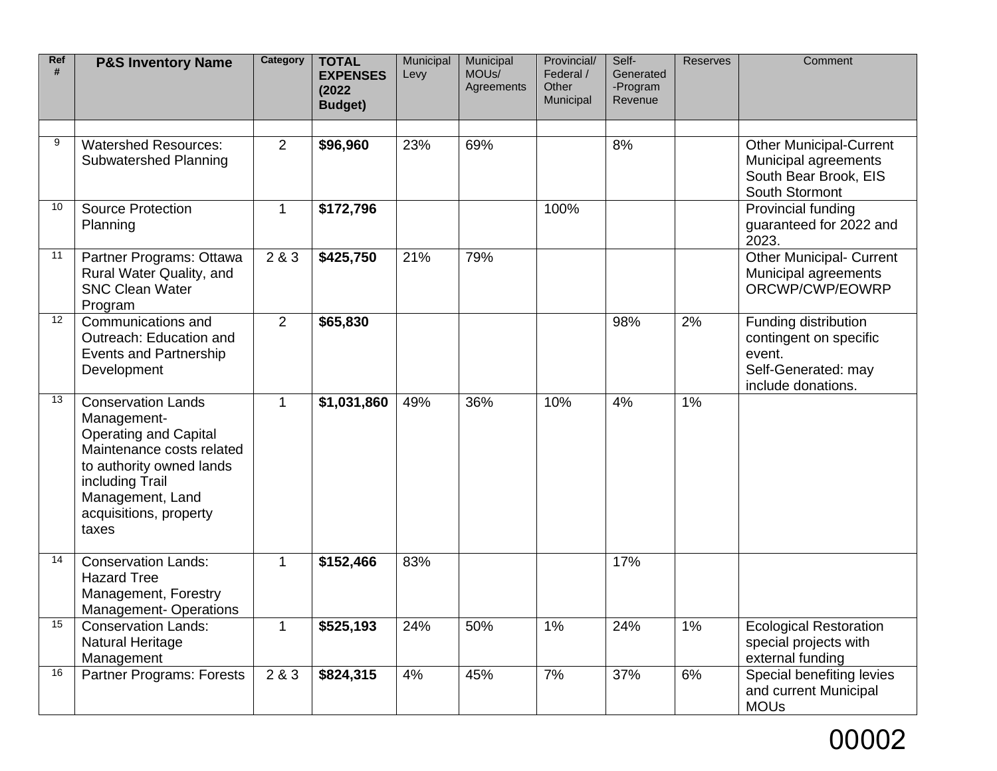| Ref<br># | <b>P&amp;S Inventory Name</b>                                                                                                                                                                               | Category    | <b>TOTAL</b><br><b>EXPENSES</b><br>(2022)<br><b>Budget)</b> | Municipal<br>Levy | Municipal<br>MOU <sub>s</sub> /<br>Agreements | Provincial/<br>Federal /<br>Other<br>Municipal | Self-<br>Generated<br>-Program<br>Revenue | <b>Reserves</b> | Comment                                                                                               |
|----------|-------------------------------------------------------------------------------------------------------------------------------------------------------------------------------------------------------------|-------------|-------------------------------------------------------------|-------------------|-----------------------------------------------|------------------------------------------------|-------------------------------------------|-----------------|-------------------------------------------------------------------------------------------------------|
| 9        | <b>Watershed Resources:</b><br>Subwatershed Planning                                                                                                                                                        | 2           | \$96,960                                                    | 23%               | 69%                                           |                                                | 8%                                        |                 | <b>Other Municipal-Current</b><br>Municipal agreements<br>South Bear Brook, EIS<br>South Stormont     |
| 10       | <b>Source Protection</b><br>Planning                                                                                                                                                                        | $\mathbf 1$ | \$172,796                                                   |                   |                                               | 100%                                           |                                           |                 | Provincial funding<br>guaranteed for 2022 and<br>2023.                                                |
| 11       | Partner Programs: Ottawa<br>Rural Water Quality, and<br><b>SNC Clean Water</b><br>Program                                                                                                                   | 2 & 3       | \$425,750                                                   | 21%               | 79%                                           |                                                |                                           |                 | <b>Other Municipal- Current</b><br>Municipal agreements<br>ORCWP/CWP/EOWRP                            |
| 12       | Communications and<br>Outreach: Education and<br>Events and Partnership<br>Development                                                                                                                      | 2           | \$65,830                                                    |                   |                                               |                                                | 98%                                       | 2%              | Funding distribution<br>contingent on specific<br>event.<br>Self-Generated: may<br>include donations. |
| 13       | <b>Conservation Lands</b><br>Management-<br><b>Operating and Capital</b><br>Maintenance costs related<br>to authority owned lands<br>including Trail<br>Management, Land<br>acquisitions, property<br>taxes | 1           | \$1,031,860                                                 | 49%               | 36%                                           | 10%                                            | 4%                                        | 1%              |                                                                                                       |
| 14       | <b>Conservation Lands:</b><br><b>Hazard Tree</b><br>Management, Forestry<br><b>Management-Operations</b>                                                                                                    | 1           | \$152,466                                                   | 83%               |                                               |                                                | 17%                                       |                 |                                                                                                       |
| 15       | <b>Conservation Lands:</b><br><b>Natural Heritage</b><br>Management                                                                                                                                         | 1           | \$525,193                                                   | 24%               | 50%                                           | 1%                                             | 24%                                       | 1%              | <b>Ecological Restoration</b><br>special projects with<br>external funding                            |
| 16       | <b>Partner Programs: Forests</b>                                                                                                                                                                            | 2 & 3       | \$824,315                                                   | 4%                | 45%                                           | 7%                                             | 37%                                       | 6%              | Special benefiting levies<br>and current Municipal<br><b>MOUs</b>                                     |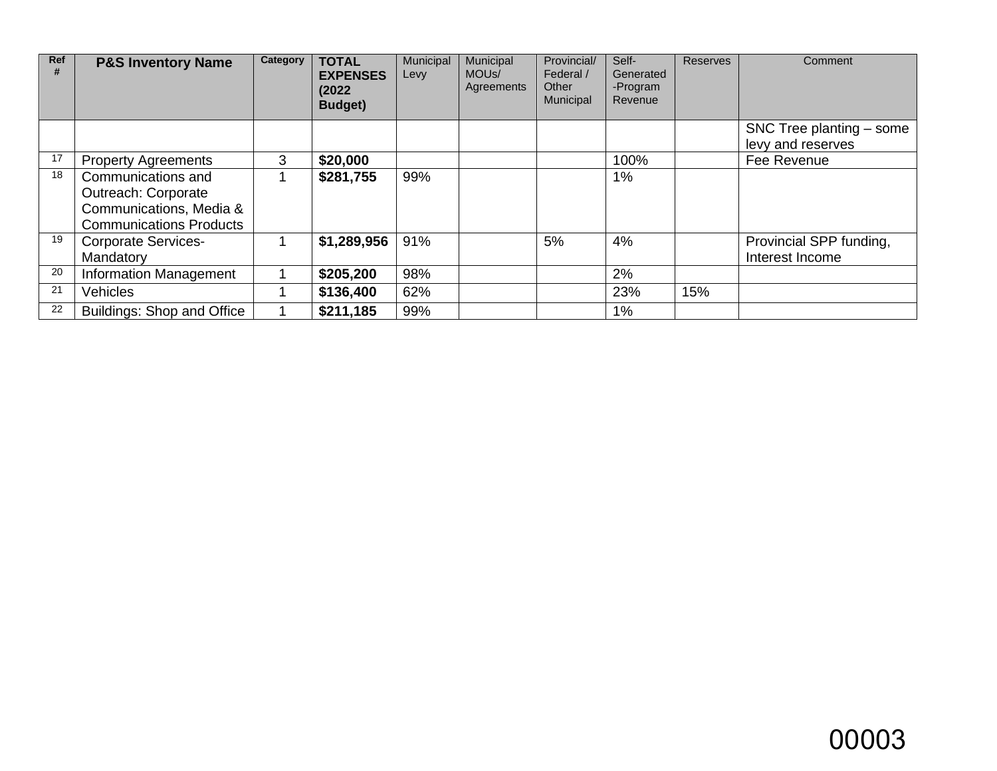| Ref | <b>P&amp;S Inventory Name</b>                                                                                 | Category | <b>TOTAL</b><br><b>EXPENSES</b><br>(2022)<br>Budget) | Municipal<br>Levy | Municipal<br>MOU <sub>s</sub> /<br>Agreements | Provincial/<br>Federal /<br>Other<br>Municipal | Self-<br>Generated<br>-Program<br>Revenue | <b>Reserves</b> | Comment                                         |
|-----|---------------------------------------------------------------------------------------------------------------|----------|------------------------------------------------------|-------------------|-----------------------------------------------|------------------------------------------------|-------------------------------------------|-----------------|-------------------------------------------------|
|     |                                                                                                               |          |                                                      |                   |                                               |                                                |                                           |                 | SNC Tree planting $-$ some<br>levy and reserves |
| 17  | <b>Property Agreements</b>                                                                                    | 3        | \$20,000                                             |                   |                                               |                                                | 100%                                      |                 | Fee Revenue                                     |
| 18  | Communications and<br><b>Outreach: Corporate</b><br>Communications, Media &<br><b>Communications Products</b> |          | \$281,755                                            | 99%               |                                               |                                                | $1\%$                                     |                 |                                                 |
| 19  | <b>Corporate Services-</b><br>Mandatory                                                                       |          | \$1,289,956                                          | 91%               |                                               | 5%                                             | 4%                                        |                 | Provincial SPP funding,<br>Interest Income      |
| 20  | <b>Information Management</b>                                                                                 |          | \$205,200                                            | 98%               |                                               |                                                | 2%                                        |                 |                                                 |
| 21  | <b>Vehicles</b>                                                                                               |          | \$136,400                                            | 62%               |                                               |                                                | 23%                                       | 15%             |                                                 |
| 22  | Buildings: Shop and Office                                                                                    |          | \$211,185                                            | 99%               |                                               |                                                | 1%                                        |                 |                                                 |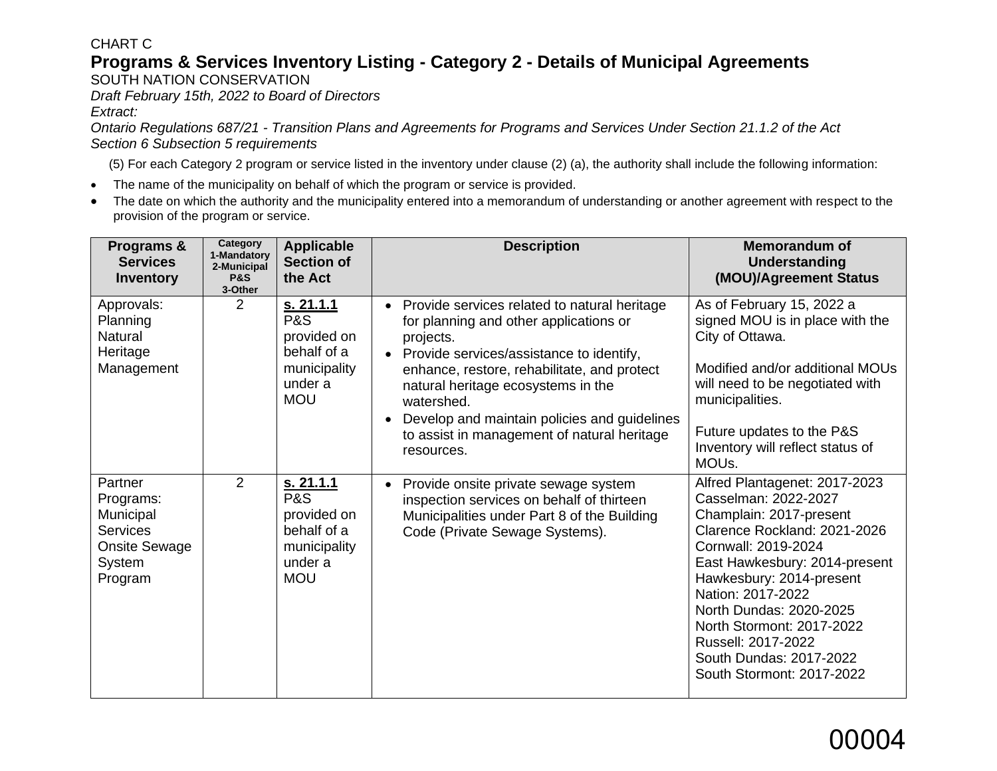### CHART C

## **Programs & Services Inventory Listing - Category 2 - Details of Municipal Agreements**

SOUTH NATION CONSERVATION

*Draft February 15th, 2022 to Board of Directors* 

*Extract:*

*Ontario Regulations 687/21 - Transition Plans and Agreements for Programs and Services Under Section 21.1.2 of the Act Section 6 Subsection 5 requirements*

(5) For each Category 2 program or service listed in the inventory under clause (2) (a), the authority shall include the following information:

- The name of the municipality on behalf of which the program or service is provided.
- The date on which the authority and the municipality entered into a memorandum of understanding or another agreement with respect to the provision of the program or service.

| Programs &<br><b>Services</b><br><b>Inventory</b>                                                 | Category<br>1-Mandatory<br>2-Municipal<br><b>P&amp;S</b><br>3-Other | <b>Applicable</b><br><b>Section of</b><br>the Act                                                         | <b>Description</b>                                                                                                                                                                                                                                                                                                                                                                                     | <b>Memorandum of</b><br>Understanding<br>(MOU)/Agreement Status                                                                                                                                                                                                                                                                                                 |
|---------------------------------------------------------------------------------------------------|---------------------------------------------------------------------|-----------------------------------------------------------------------------------------------------------|--------------------------------------------------------------------------------------------------------------------------------------------------------------------------------------------------------------------------------------------------------------------------------------------------------------------------------------------------------------------------------------------------------|-----------------------------------------------------------------------------------------------------------------------------------------------------------------------------------------------------------------------------------------------------------------------------------------------------------------------------------------------------------------|
| Approvals:<br>Planning<br><b>Natural</b><br>Heritage<br>Management                                | $\overline{2}$                                                      | <u>s. 21.1.1</u><br><b>P&amp;S</b><br>provided on<br>behalf of a<br>municipality<br>under a<br><b>MOU</b> | Provide services related to natural heritage<br>$\bullet$<br>for planning and other applications or<br>projects.<br>Provide services/assistance to identify,<br>$\bullet$<br>enhance, restore, rehabilitate, and protect<br>natural heritage ecosystems in the<br>watershed.<br>Develop and maintain policies and guidelines<br>$\bullet$<br>to assist in management of natural heritage<br>resources. | As of February 15, 2022 a<br>signed MOU is in place with the<br>City of Ottawa.<br>Modified and/or additional MOUs<br>will need to be negotiated with<br>municipalities.<br>Future updates to the P&S<br>Inventory will reflect status of<br>MOU <sub>s</sub> .                                                                                                 |
| Partner<br>Programs:<br>Municipal<br><b>Services</b><br><b>Onsite Sewage</b><br>System<br>Program | 2                                                                   | s. 21.1.1<br><b>P&amp;S</b><br>provided on<br>behalf of a<br>municipality<br>under a<br><b>MOU</b>        | Provide onsite private sewage system<br>$\bullet$<br>inspection services on behalf of thirteen<br>Municipalities under Part 8 of the Building<br>Code (Private Sewage Systems).                                                                                                                                                                                                                        | Alfred Plantagenet: 2017-2023<br>Casselman: 2022-2027<br>Champlain: 2017-present<br>Clarence Rockland: 2021-2026<br>Cornwall: 2019-2024<br>East Hawkesbury: 2014-present<br>Hawkesbury: 2014-present<br>Nation: 2017-2022<br>North Dundas: 2020-2025<br>North Stormont: 2017-2022<br>Russell: 2017-2022<br>South Dundas: 2017-2022<br>South Stormont: 2017-2022 |

# 00004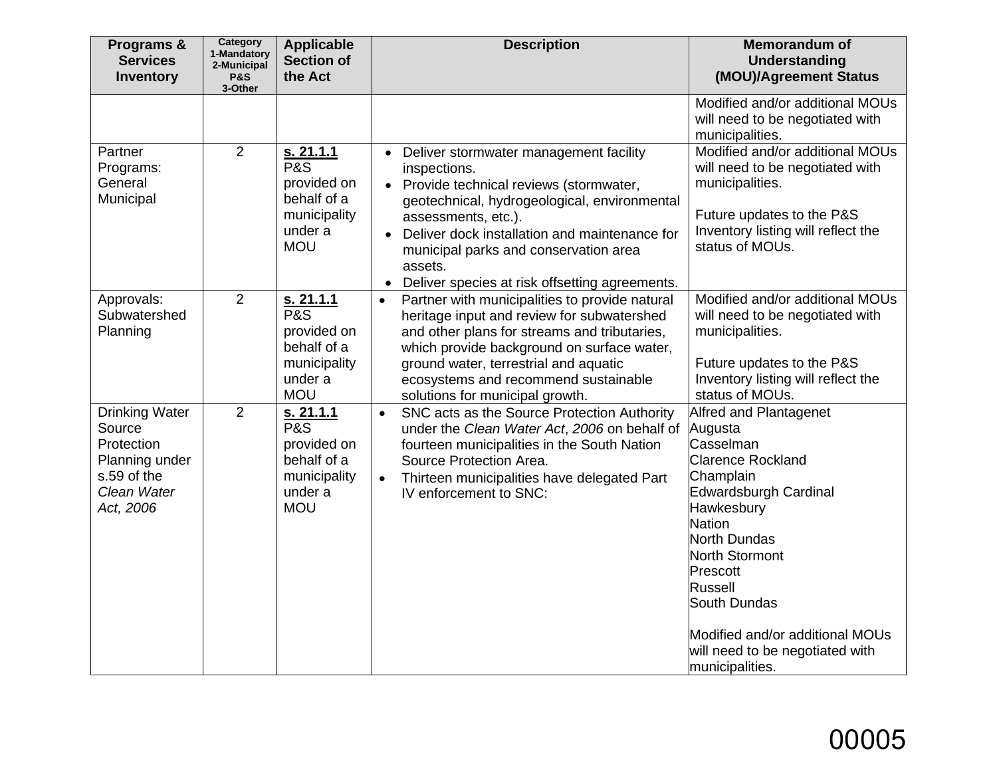| Programs &<br><b>Services</b><br><b>Inventory</b>                                                          | Category<br>1-Mandatory<br>2-Municipal<br><b>P&amp;S</b><br>3-Other | <b>Applicable</b><br><b>Section of</b><br>the Act                                                  | <b>Description</b>                                                                                                                                                                                                                                                                                                                                                      | <b>Memorandum of</b><br><b>Understanding</b><br>(MOU)/Agreement Status                                                                                                                                                                                                                                            |
|------------------------------------------------------------------------------------------------------------|---------------------------------------------------------------------|----------------------------------------------------------------------------------------------------|-------------------------------------------------------------------------------------------------------------------------------------------------------------------------------------------------------------------------------------------------------------------------------------------------------------------------------------------------------------------------|-------------------------------------------------------------------------------------------------------------------------------------------------------------------------------------------------------------------------------------------------------------------------------------------------------------------|
|                                                                                                            |                                                                     |                                                                                                    |                                                                                                                                                                                                                                                                                                                                                                         | Modified and/or additional MOUs<br>will need to be negotiated with<br>municipalities.                                                                                                                                                                                                                             |
| Partner<br>Programs:<br>General<br>Municipal                                                               | $\overline{2}$                                                      | s. 21.1.1<br><b>P&amp;S</b><br>provided on<br>behalf of a<br>municipality<br>under a<br><b>MOU</b> | Deliver stormwater management facility<br>$\bullet$<br>inspections.<br>• Provide technical reviews (stormwater,<br>geotechnical, hydrogeological, environmental<br>assessments, etc.).<br>Deliver dock installation and maintenance for<br>$\bullet$<br>municipal parks and conservation area<br>assets.<br>Deliver species at risk offsetting agreements.<br>$\bullet$ | Modified and/or additional MOUs<br>will need to be negotiated with<br>municipalities.<br>Future updates to the P&S<br>Inventory listing will reflect the<br>status of MOUs.                                                                                                                                       |
| Approvals:<br>Subwatershed<br>Planning                                                                     | $\overline{2}$                                                      | s. 21.1.1<br>P&S<br>provided on<br>behalf of a<br>municipality<br>under a<br><b>MOU</b>            | Partner with municipalities to provide natural<br>$\bullet$<br>heritage input and review for subwatershed<br>and other plans for streams and tributaries,<br>which provide background on surface water,<br>ground water, terrestrial and aquatic<br>ecosystems and recommend sustainable<br>solutions for municipal growth.                                             | Modified and/or additional MOUs<br>will need to be negotiated with<br>municipalities.<br>Future updates to the P&S<br>Inventory listing will reflect the<br>status of MOUs.                                                                                                                                       |
| <b>Drinking Water</b><br>Source<br>Protection<br>Planning under<br>s.59 of the<br>Clean Water<br>Act, 2006 | $\overline{2}$                                                      | s. 21.1.1<br><b>P&amp;S</b><br>provided on<br>behalf of a<br>municipality<br>under a<br><b>MOU</b> | SNC acts as the Source Protection Authority<br>$\bullet$<br>under the Clean Water Act, 2006 on behalf of<br>fourteen municipalities in the South Nation<br>Source Protection Area.<br>Thirteen municipalities have delegated Part<br>$\bullet$<br>IV enforcement to SNC:                                                                                                | Alfred and Plantagenet<br>Augusta<br>Casselman<br><b>Clarence Rockland</b><br>Champlain<br>Edwardsburgh Cardinal<br>Hawkesbury<br><b>Nation</b><br>North Dundas<br>North Stormont<br>Prescott<br>Russell<br>South Dundas<br>Modified and/or additional MOUs<br>will need to be negotiated with<br>municipalities. |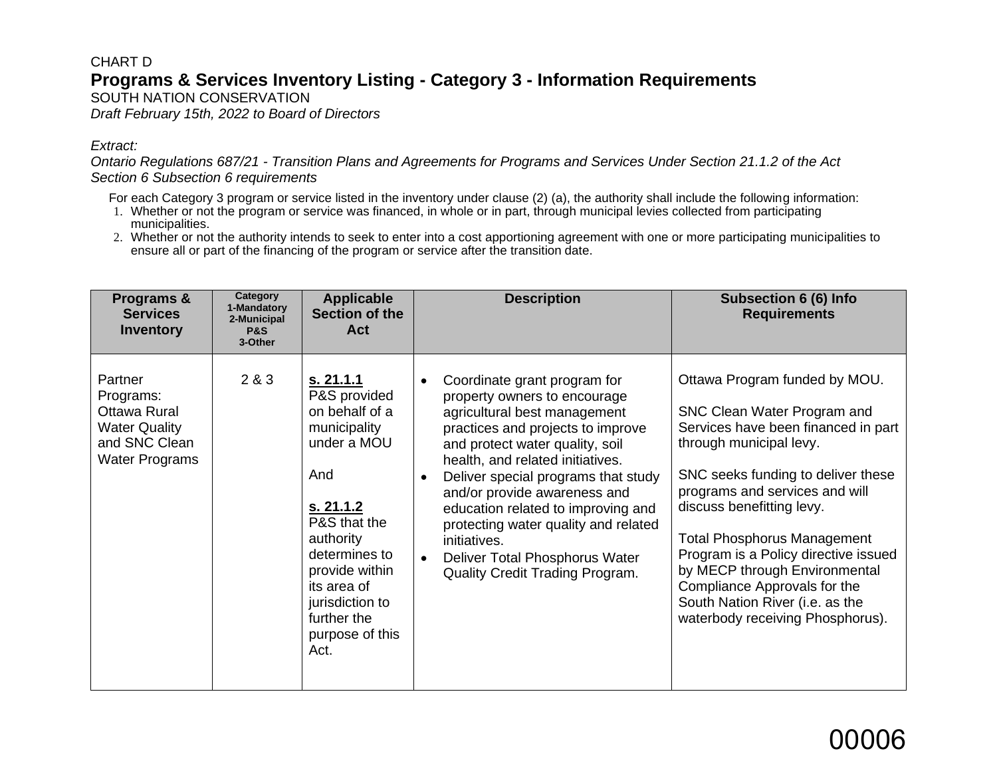### CHART D **Programs & Services Inventory Listing - Category 3 - Information Requirements** SOUTH NATION CONSERVATION

*Draft February 15th, 2022 to Board of Directors*

#### *Extract:*

*Ontario Regulations 687/21 - Transition Plans and Agreements for Programs and Services Under Section 21.1.2 of the Act Section 6 Subsection 6 requirements*

For each Category 3 program or service listed in the inventory under clause (2) (a), the authority shall include the following information:

- 1. Whether or not the program or service was financed, in whole or in part, through municipal levies collected from participating municipalities.
- 2. Whether or not the authority intends to seek to enter into a cost apportioning agreement with one or more participating municipalities to ensure all or part of the financing of the program or service after the transition date.

| Programs &<br><b>Services</b><br><b>Inventory</b>                                                      | Category<br>1-Mandatory<br>2-Municipal<br><b>P&amp;S</b><br>3-Other | <b>Applicable</b><br>Section of the<br>Act                                                                                                                                                                                                 | <b>Description</b>                                                                                                                                                                                                                                                                                                                                                                                                                                                                               | <b>Subsection 6 (6) Info</b><br><b>Requirements</b>                                                                                                                                                                                                                                                                                                                                                                                                       |
|--------------------------------------------------------------------------------------------------------|---------------------------------------------------------------------|--------------------------------------------------------------------------------------------------------------------------------------------------------------------------------------------------------------------------------------------|--------------------------------------------------------------------------------------------------------------------------------------------------------------------------------------------------------------------------------------------------------------------------------------------------------------------------------------------------------------------------------------------------------------------------------------------------------------------------------------------------|-----------------------------------------------------------------------------------------------------------------------------------------------------------------------------------------------------------------------------------------------------------------------------------------------------------------------------------------------------------------------------------------------------------------------------------------------------------|
| Partner<br>Programs:<br>Ottawa Rural<br><b>Water Quality</b><br>and SNC Clean<br><b>Water Programs</b> | 2 & 3                                                               | s. 21.1.1<br>P&S provided<br>on behalf of a<br>municipality<br>under a MOU<br>And<br>s. 21.1.2<br>P&S that the<br>authority<br>determines to<br>provide within<br>its area of<br>jurisdiction to<br>further the<br>purpose of this<br>Act. | Coordinate grant program for<br>$\bullet$<br>property owners to encourage<br>agricultural best management<br>practices and projects to improve<br>and protect water quality, soil<br>health, and related initiatives.<br>Deliver special programs that study<br>$\bullet$<br>and/or provide awareness and<br>education related to improving and<br>protecting water quality and related<br>initiatives.<br>Deliver Total Phosphorus Water<br>$\bullet$<br><b>Quality Credit Trading Program.</b> | Ottawa Program funded by MOU.<br>SNC Clean Water Program and<br>Services have been financed in part<br>through municipal levy.<br>SNC seeks funding to deliver these<br>programs and services and will<br>discuss benefitting levy.<br><b>Total Phosphorus Management</b><br>Program is a Policy directive issued<br>by MECP through Environmental<br>Compliance Approvals for the<br>South Nation River (i.e. as the<br>waterbody receiving Phosphorus). |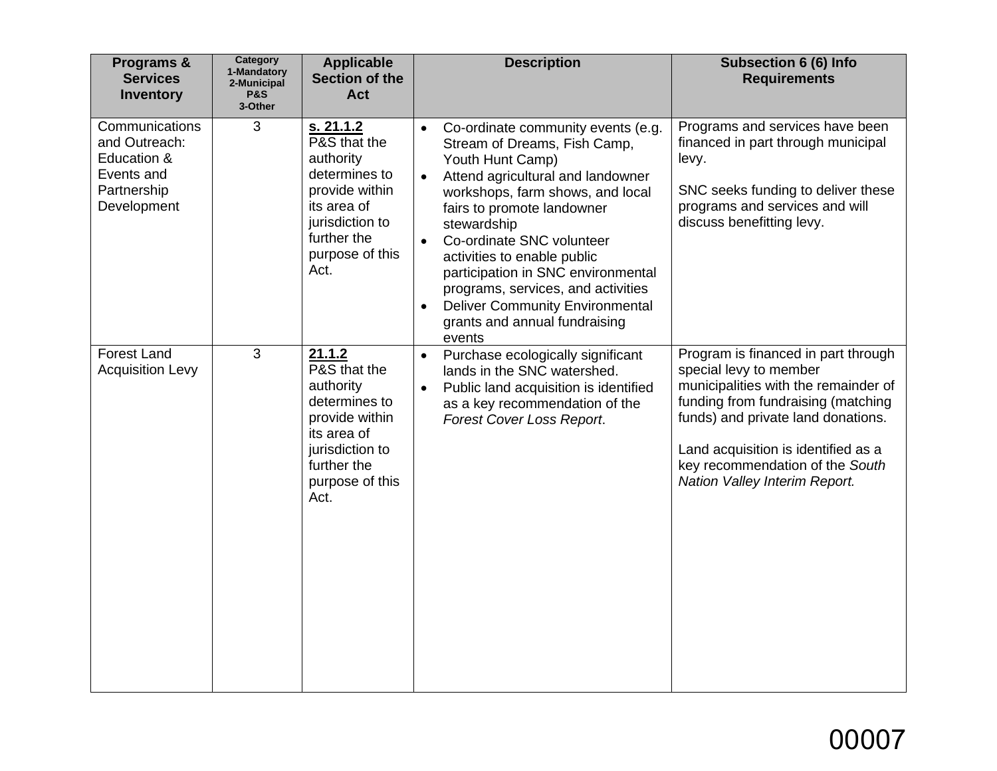| Programs &<br><b>Services</b><br><b>Inventory</b>                                          | Category<br>1-Mandatory<br>2-Municipal<br><b>P&amp;S</b><br>3-Other | <b>Applicable</b><br><b>Section of the</b><br><b>Act</b>                                                                                              | <b>Description</b>                                                                                                                                                                                                                                                                                                                                                                                                                                                                            | <b>Subsection 6 (6) Info</b><br><b>Requirements</b>                                                                                                                                                                                                                                          |
|--------------------------------------------------------------------------------------------|---------------------------------------------------------------------|-------------------------------------------------------------------------------------------------------------------------------------------------------|-----------------------------------------------------------------------------------------------------------------------------------------------------------------------------------------------------------------------------------------------------------------------------------------------------------------------------------------------------------------------------------------------------------------------------------------------------------------------------------------------|----------------------------------------------------------------------------------------------------------------------------------------------------------------------------------------------------------------------------------------------------------------------------------------------|
| Communications<br>and Outreach:<br>Education &<br>Events and<br>Partnership<br>Development | 3                                                                   | s. 21.1.2<br>P&S that the<br>authority<br>determines to<br>provide within<br>its area of<br>jurisdiction to<br>further the<br>purpose of this<br>Act. | Co-ordinate community events (e.g.<br>$\bullet$<br>Stream of Dreams, Fish Camp,<br>Youth Hunt Camp)<br>Attend agricultural and landowner<br>$\bullet$<br>workshops, farm shows, and local<br>fairs to promote landowner<br>stewardship<br>Co-ordinate SNC volunteer<br>$\bullet$<br>activities to enable public<br>participation in SNC environmental<br>programs, services, and activities<br><b>Deliver Community Environmental</b><br>$\bullet$<br>grants and annual fundraising<br>events | Programs and services have been<br>financed in part through municipal<br>levy.<br>SNC seeks funding to deliver these<br>programs and services and will<br>discuss benefitting levy.                                                                                                          |
| <b>Forest Land</b><br><b>Acquisition Levy</b>                                              | 3                                                                   | 21.1.2<br>P&S that the<br>authority<br>determines to<br>provide within<br>its area of<br>jurisdiction to<br>further the<br>purpose of this<br>Act.    | Purchase ecologically significant<br>$\bullet$<br>lands in the SNC watershed.<br>Public land acquisition is identified<br>$\bullet$<br>as a key recommendation of the<br>Forest Cover Loss Report.                                                                                                                                                                                                                                                                                            | Program is financed in part through<br>special levy to member<br>municipalities with the remainder of<br>funding from fundraising (matching<br>funds) and private land donations.<br>Land acquisition is identified as a<br>key recommendation of the South<br>Nation Valley Interim Report. |